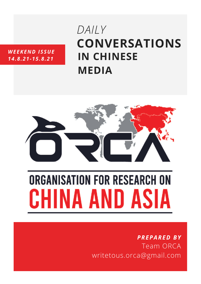#### *WEEKEND ISSUE 14.8.21-15.8.21*

# **CONVERSATIONS IN CHINESE MEDIA** *DAILY*



# **ORGANISATION FOR RESEARCH ON** HINA AND ASIA

# *PREPARED BY* Team ORCA writetous.orca@gmail.com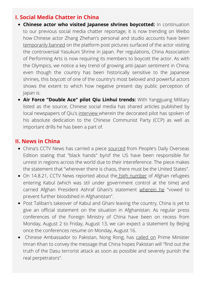## **I. Social Media Chatter in China**

- **Chinese actor who visited Japanese shrines boycotted:** In continuation to our previous social media chatter reportage, it is now trending on Weibo how [Chinese](https://twitter.com/hashtag/ZhangZhehan?src=hashtag_click) actor Zhang Zhehan's personal and studio accounts have been [temporarily](https://twitter.com/TrendingWeibo/status/1426749166559039491/photo/3) banned on the platform post pictures surfaced of the actor visiting the controversial Yasukuni Shrine in Japan. Per regulations, China Association of Performing Arts is now requiring its members to boycott the actor. As with the Olympics, we notice a key trend of growing anti-Japan sentiment in China; even though the country has been historically sensitive to the Japanese shrines, this boycott of one of the country's most beloved and powerful actors shows the extent to which how negative present day public perception of Japan is.
- **Air Force "Double Ace" pilot Qiu Linhui trends:** With Yangguang Military listed as the source, Chinese social media has shared articles published by local newspapers of Qiu's [interview](https://mp.weixin.qq.com/s/UUfcUCze8WqPk68Va_1-ug) wherein the decorated pilot has spoken of his absolute dedication to the Chinese Communist Party (CCP) as well as important drills he has been a part of.

## **II. News in China**

- China's CCTV News has carried a piece [sourced](https://news.cctv.com/2021/08/14/ARTI9WQfMjFrJJudPPzI25CP210814.shtml) from People's Daily Overseas Edition stating that "black hands" by/of the US have been responsible for unrest in regions across the world due to their intereference. The piece makes the statement that "wherever there is chaos, there must be the United States".
- On 14.8.21, CCTV News reported about the high [number](https://news.cctv.com/2021/08/14/ARTI5g1eHCMnyOGY3Kzx5hSa210814.shtml) of Afghan refugees entering Kabul (which was stil under government control at the time) and carried Afghan President Ashraf Ghani's statement [wherein](https://news.cctv.com/2021/08/14/ARTI5rwdpvYt1ERQoD6kNUmL210814.shtml) he "vowed to prevent further bloodshed in Afghanistan".
- Post Taliban's takeover of Kabul and Ghani leaving the country, China is yet to give an official statement on the situation in Afghanistan. As regular press conferences of the Foreign Ministry of China have been on recess from Monday, August 2 to Friday, August 13, we can expect a statement by Bejing once the conferences resume on Monday, August 16.
- Chinese Ambassador to Pakistan, Nong Rong, has [called](https://www.guancha.cn/internation/2021_08_14_602972_s.shtml) on Prime Minister Imran Khan to convey the message that China hopes Pakistan will "find out the truth of the Dasu terrorist attack as soon as possible and severely punish the real perpetrators".